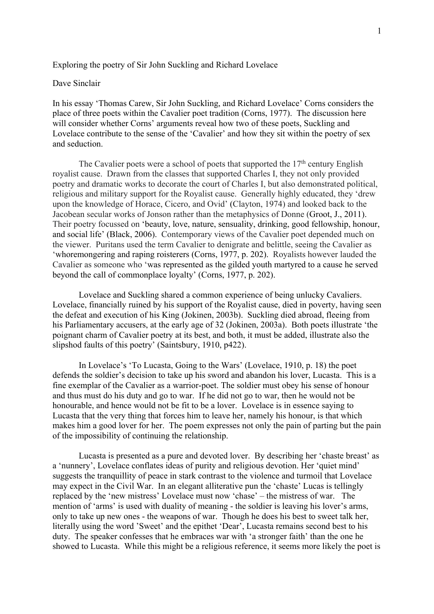## Exploring the poetry of Sir John Suckling and Richard Lovelace

## Dave Sinclair

In his essay 'Thomas Carew, Sir John Suckling, and Richard Lovelace' Corns considers the place of three poets within the Cavalier poet tradition (Corns, 1977). The discussion here will consider whether Corns' arguments reveal how two of these poets, Suckling and Lovelace contribute to the sense of the 'Cavalier' and how they sit within the poetry of sex and seduction.

The Cavalier poets were a school of poets that supported the  $17<sup>th</sup>$  century English royalist cause. Drawn from the classes that supported Charles I, they not only provided poetry and dramatic works to decorate the court of Charles I, but also demonstrated political, religious and military support for the Royalist cause. Generally highly educated, they 'drew upon the knowledge of Horace, Cicero, and Ovid' (Clayton, 1974) and looked back to the Jacobean secular works of Jonson rather than the metaphysics of Donne (Groot, J., 2011). Their poetry focussed on 'beauty, love, nature, sensuality, drinking, good fellowship, honour, and social life' (Black, 2006). Contemporary views of the Cavalier poet depended much on the viewer. Puritans used the term Cavalier to denigrate and belittle, seeing the Cavalier as 'whoremongering and raping roisterers (Corns, 1977, p. 202). Royalists however lauded the Cavalier as someone who 'was represented as the gilded youth martyred to a cause he served beyond the call of commonplace loyalty' (Corns, 1977, p. 202).

Lovelace and Suckling shared a common experience of being unlucky Cavaliers. Lovelace, financially ruined by his support of the Royalist cause, died in poverty, having seen the defeat and execution of his King (Jokinen, 2003b). Suckling died abroad, fleeing from his Parliamentary accusers, at the early age of 32 (Jokinen, 2003a). Both poets illustrate 'the poignant charm of Cavalier poetry at its best, and both, it must be added, illustrate also the slipshod faults of this poetry' (Saintsbury, 1910, p422).

In Lovelace's 'To Lucasta, Going to the Wars' (Lovelace, 1910, p. 18) the poet defends the soldier's decision to take up his sword and abandon his lover, Lucasta. This is a fine exemplar of the Cavalier as a warrior-poet. The soldier must obey his sense of honour and thus must do his duty and go to war. If he did not go to war, then he would not be honourable, and hence would not be fit to be a lover. Lovelace is in essence saying to Lucasta that the very thing that forces him to leave her, namely his honour, is that which makes him a good lover for her. The poem expresses not only the pain of parting but the pain of the impossibility of continuing the relationship.

Lucasta is presented as a pure and devoted lover. By describing her 'chaste breast' as a 'nunnery', Lovelace conflates ideas of purity and religious devotion. Her 'quiet mind' suggests the tranquillity of peace in stark contrast to the violence and turmoil that Lovelace may expect in the Civil War. In an elegant alliterative pun the 'chaste' Lucas is tellingly replaced by the 'new mistress' Lovelace must now 'chase' – the mistress of war. The mention of 'arms' is used with duality of meaning - the soldier is leaving his lover's arms, only to take up new ones - the weapons of war. Though he does his best to sweet talk her, literally using the word 'Sweet' and the epithet 'Dear', Lucasta remains second best to his duty. The speaker confesses that he embraces war with 'a stronger faith' than the one he showed to Lucasta. While this might be a religious reference, it seems more likely the poet is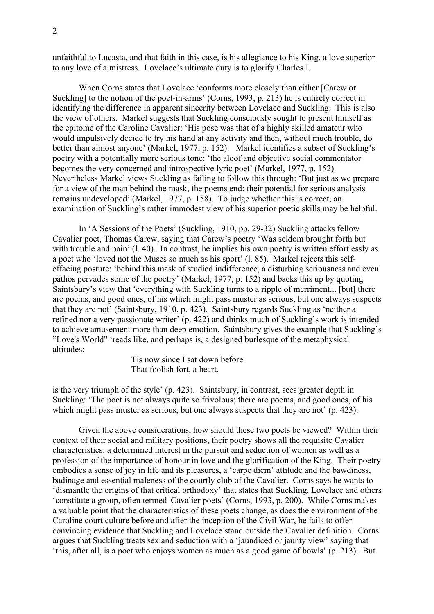unfaithful to Lucasta, and that faith in this case, is his allegiance to his King, a love superior to any love of a mistress. Lovelace's ultimate duty is to glorify Charles I.

When Corns states that Lovelace 'conforms more closely than either [Carew or Suckling] to the notion of the poet-in-arms' (Corns, 1993, p. 213) he is entirely correct in identifying the difference in apparent sincerity between Lovelace and Suckling. This is also the view of others. Markel suggests that Suckling consciously sought to present himself as the epitome of the Caroline Cavalier: 'His pose was that of a highly skilled amateur who would impulsively decide to try his hand at any activity and then, without much trouble, do better than almost anyone' (Markel, 1977, p. 152). Markel identifies a subset of Suckling's poetry with a potentially more serious tone: 'the aloof and objective social commentator becomes the very concerned and introspective lyric poet' (Markel, 1977, p. 152). Nevertheless Markel views Suckling as failing to follow this through: 'But just as we prepare for a view of the man behind the mask, the poems end; their potential for serious analysis remains undeveloped' (Markel, 1977, p. 158). To judge whether this is correct, an examination of Suckling's rather immodest view of his superior poetic skills may be helpful.

In 'A Sessions of the Poets' (Suckling, 1910, pp. 29-32) Suckling attacks fellow Cavalier poet, Thomas Carew, saying that Carew's poetry 'Was seldom brought forth but with trouble and pain' (1, 40). In contrast, he implies his own poetry is written effortlessly as a poet who 'loved not the Muses so much as his sport' (l. 85). Markel rejects this selfeffacing posture: 'behind this mask of studied indifference, a disturbing seriousness and even pathos pervades some of the poetry' (Markel, 1977, p. 152) and backs this up by quoting Saintsbury's view that 'everything with Suckling turns to a ripple of merriment... [but] there are poems, and good ones, of his which might pass muster as serious, but one always suspects that they are not' (Saintsbury, 1910, p. 423). Saintsbury regards Suckling as 'neither a refined nor a very passionate writer' (p. 422) and thinks much of Suckling's work is intended to achieve amusement more than deep emotion. Saintsbury gives the example that Suckling's "Love's World" 'reads like, and perhaps is, a designed burlesque of the metaphysical altitudes:

> Tis now since I sat down before That foolish fort, a heart,

is the very triumph of the style' (p. 423). Saintsbury, in contrast, sees greater depth in Suckling: 'The poet is not always quite so frivolous; there are poems, and good ones, of his which might pass muster as serious, but one always suspects that they are not' (p. 423).

Given the above considerations, how should these two poets be viewed? Within their context of their social and military positions, their poetry shows all the requisite Cavalier characteristics: a determined interest in the pursuit and seduction of women as well as a profession of the importance of honour in love and the glorification of the King. Their poetry embodies a sense of joy in life and its pleasures, a 'carpe diem' attitude and the bawdiness, badinage and essential maleness of the courtly club of the Cavalier. Corns says he wants to 'dismantle the origins of that critical orthodoxy' that states that Suckling, Lovelace and others 'constitute a group, often termed 'Cavalier poets' (Corns, 1993, p. 200). While Corns makes a valuable point that the characteristics of these poets change, as does the environment of the Caroline court culture before and after the inception of the Civil War, he fails to offer convincing evidence that Suckling and Lovelace stand outside the Cavalier definition. Corns argues that Suckling treats sex and seduction with a 'jaundiced or jaunty view' saying that 'this, after all, is a poet who enjoys women as much as a good game of bowls' (p. 213). But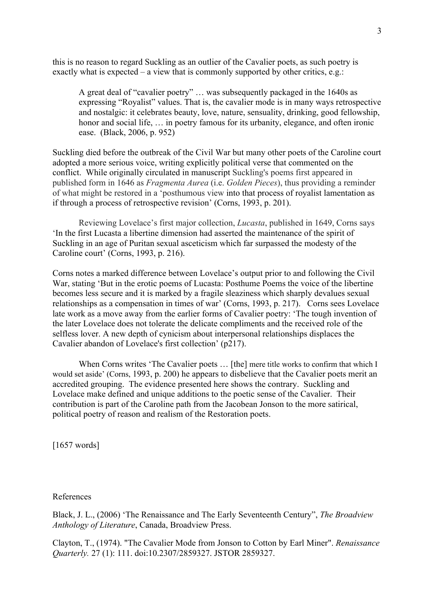this is no reason to regard Suckling as an outlier of the Cavalier poets, as such poetry is exactly what is expected – a view that is commonly supported by other critics, e.g.:

A great deal of "cavalier poetry" … was subsequently packaged in the 1640s as expressing "Royalist" values. That is, the cavalier mode is in many ways retrospective and nostalgic: it celebrates beauty, love, nature, sensuality, drinking, good fellowship, honor and social life, ... in poetry famous for its urbanity, elegance, and often ironic ease. (Black, 2006, p. 952)

Suckling died before the outbreak of the Civil War but many other poets of the Caroline court adopted a more serious voice, writing explicitly political verse that commented on the conflict. While originally circulated in manuscript Suckling's poems first appeared in published form in 1646 as *Fragmenta Aurea* (i.e. *Golden Pieces*), thus providing a reminder of what might be restored in a 'posthumous view into that process of royalist lamentation as if through a process of retrospective revision' (Corns, 1993, p. 201).

Reviewing Lovelace's first major collection, *Lucasta*, published in 1649, Corns says 'In the first Lucasta a libertine dimension had asserted the maintenance of the spirit of Suckling in an age of Puritan sexual asceticism which far surpassed the modesty of the Caroline court' (Corns, 1993, p. 216).

Corns notes a marked difference between Lovelace's output prior to and following the Civil War, stating 'But in the erotic poems of Lucasta: Posthume Poems the voice of the libertine becomes less secure and it is marked by a fragile sleaziness which sharply devalues sexual relationships as a compensation in times of war' (Corns, 1993, p. 217). Corns sees Lovelace late work as a move away from the earlier forms of Cavalier poetry: 'The tough invention of the later Lovelace does not tolerate the delicate compliments and the received role of the selfless lover. A new depth of cynicism about interpersonal relationships displaces the Cavalier abandon of Lovelace's first collection' (p217).

When Corns writes 'The Cavalier poets ... [the] mere title works to confirm that which I would set aside' (Corns, 1993, p. 200) he appears to disbelieve that the Cavalier poets merit an accredited grouping. The evidence presented here shows the contrary. Suckling and Lovelace make defined and unique additions to the poetic sense of the Cavalier. Their contribution is part of the Caroline path from the Jacobean Jonson to the more satirical, political poetry of reason and realism of the Restoration poets.

[1657 words]

## References

Black, J. L., (2006) 'The Renaissance and The Early Seventeenth Century", *The Broadview Anthology of Literature*, Canada, Broadview Press.

Clayton, T., (1974). "The Cavalier Mode from Jonson to Cotton by Earl Miner". *Renaissance Quarterly.* 27 (1): 111. doi:10.2307/2859327. JSTOR 2859327.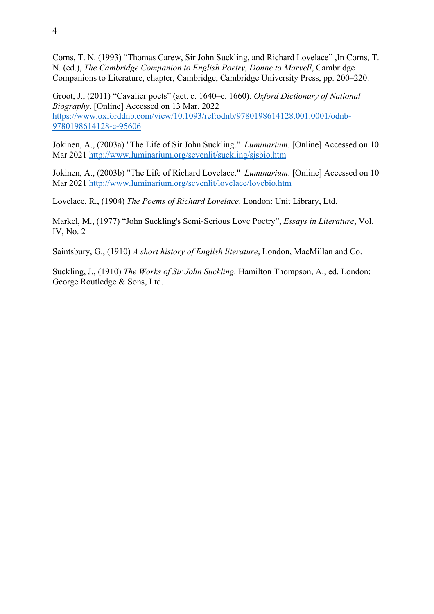Corns, T. N. (1993) "Thomas Carew, Sir John Suckling, and Richard Lovelace" ,In Corns, T. N. (ed.), *The Cambridge Companion to English Poetry, Donne to Marvell*, Cambridge Companions to Literature, chapter, Cambridge, Cambridge University Press, pp. 200–220.

Groot, J., (2011) "Cavalier poets" (act. c. 1640–c. 1660). *Oxford Dictionary of National Biography*. [Online] Accessed on 13 Mar. 2022 https://www.oxforddnb.com/view/10.1093/ref:odnb/9780198614128.001.0001/odnb-9780198614128-e-95606

Jokinen, A., (2003a) "The Life of Sir John Suckling." *Luminarium*. [Online] Accessed on 10 Mar 2021 http://www.luminarium.org/sevenlit/suckling/sjsbio.htm

Jokinen, A., (2003b) "The Life of Richard Lovelace." *Luminarium*. [Online] Accessed on 10 Mar 2021 http://www.luminarium.org/sevenlit/lovelace/lovebio.htm

Lovelace, R., (1904) *The Poems of Richard Lovelace*. London: Unit Library, Ltd.

Markel, M., (1977) "John Suckling's Semi-Serious Love Poetry", *Essays in Literature*, Vol. IV, No. 2

Saintsbury, G., (1910) *A short history of English literature*, London, MacMillan and Co.

Suckling, J., (1910) *The Works of Sir John Suckling.* Hamilton Thompson, A., ed. London: George Routledge & Sons, Ltd.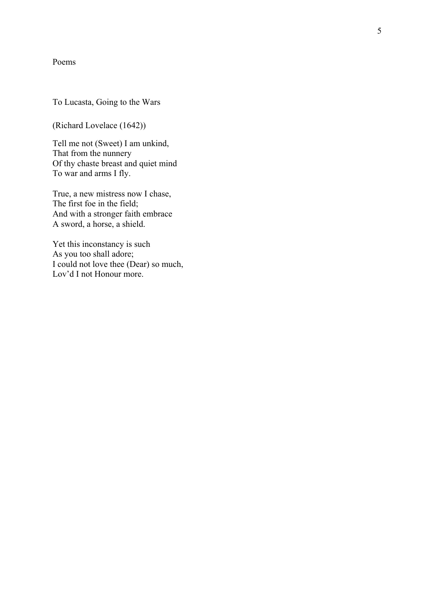## Poems

To Lucasta, Going to the Wars

(Richard Lovelace (1642))

Tell me not (Sweet) I am unkind, That from the nunnery Of thy chaste breast and quiet mind To war and arms I fly.

True, a new mistress now I chase, The first foe in the field; And with a stronger faith embrace A sword, a horse, a shield.

Yet this inconstancy is such As you too shall adore; I could not love thee (Dear) so much, Lov'd I not Honour more.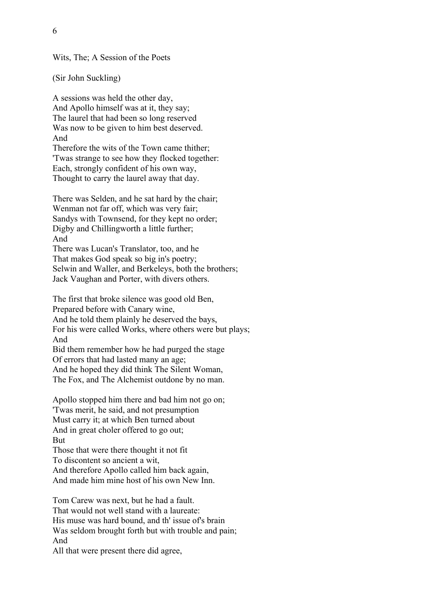Wits, The; A Session of the Poets

(Sir John Suckling)

A sessions was held the other day, And Apollo himself was at it, they say; The laurel that had been so long reserved Was now to be given to him best deserved. And

Therefore the wits of the Town came thither; 'Twas strange to see how they flocked together: Each, strongly confident of his own way, Thought to carry the laurel away that day.

There was Selden, and he sat hard by the chair; Wenman not far off, which was very fair; Sandys with Townsend, for they kept no order; Digby and Chillingworth a little further; And

There was Lucan's Translator, too, and he That makes God speak so big in's poetry; Selwin and Waller, and Berkeleys, both the brothers; Jack Vaughan and Porter, with divers others.

The first that broke silence was good old Ben, Prepared before with Canary wine, And he told them plainly he deserved the bays, For his were called Works, where others were but plays; And Bid them remember how he had purged the stage Of errors that had lasted many an age; And he hoped they did think The Silent Woman, The Fox, and The Alchemist outdone by no man.

Apollo stopped him there and bad him not go on; 'Twas merit, he said, and not presumption Must carry it; at which Ben turned about And in great choler offered to go out; But Those that were there thought it not fit To discontent so ancient a wit, And therefore Apollo called him back again, And made him mine host of his own New Inn.

Tom Carew was next, but he had a fault. That would not well stand with a laureate: His muse was hard bound, and th' issue of's brain Was seldom brought forth but with trouble and pain; And All that were present there did agree,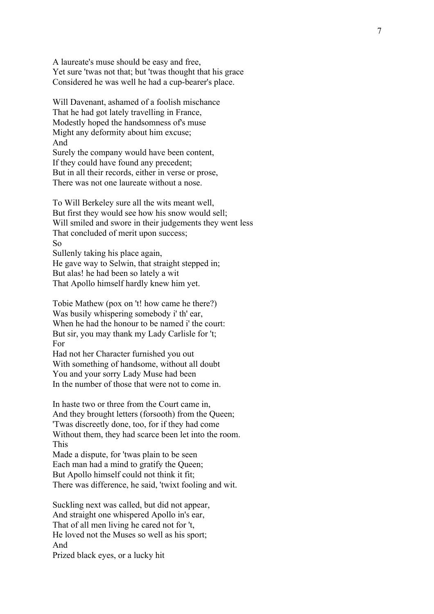A laureate's muse should be easy and free, Yet sure 'twas not that; but 'twas thought that his grace Considered he was well he had a cup -bearer's place.

Will Davenant, ashamed of a foolish mischance That he had got lately travelling in France, Modestly hoped the handsomness of's muse Might any deformity about him excuse; And Surely the company would have been content,

If they could have found any precedent; But in all their records, either in verse or prose, There was not one laureate without a nose.

To Will Berkeley sure all the wits meant well, But first they would see how his snow would sell; Will smiled and swore in their judgements they went less That concluded of merit upon success; So

Sullenly taking his place again, He gave way to Selwin, that straight stepped in; But alas! he had been so lately a wit That Apollo himself hardly knew him yet.

Tobie Mathew (pox on 't! how came he there?) Was busily whispering somebody i' th' ear, When he had the honour to be named i' the court: But sir, you may thank my Lady Carlisle for 't; For

Had not her Character furnished you out With something of handsome, without all doubt You and your sorry Lady Muse had been In the number of those that were not to come in.

In haste two or three from the Court came in, And they brought letters (forsooth) from the Queen; 'Twas discreetly done, too, for if they had come Without them, they had scarce been let into the room. This Made a dispute, for 'twas plain to be seen

Each man had a mind to gratify the Queen; But Apollo himself could not think it fit;

There was difference, he said, 'twixt fooling and wit.

Suckling next was called, but did not appear, And straight one whispered Apollo in's ear, That of all men living he cared not for 't, He loved not the Muses so well as his sport; And Prized black eyes, or a lucky hit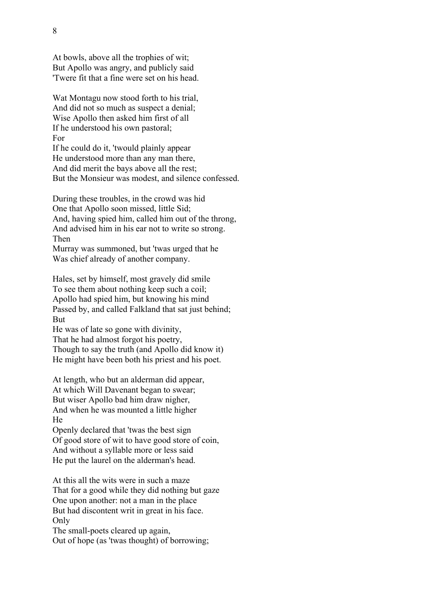At bowls, above all the trophies of wit; But Apollo was angry, and publicly said 'Twere fit that a fine were set on his head.

Wat Montagu now stood forth to his trial, And did not so much as suspect a denial; Wise Apollo then asked him first of all If he understood his own pastoral; For

If he could do it, 'twould plainly appear He understood more than any man there, And did merit the bays above all the rest; But the Monsieur was modest, and silence confessed.

During these troubles, in the crowd was hid One that Apollo soon missed, little Sid; And, having spied him, called him out of the throng, And advised him in his ear not to write so strong. Then

Murray was summoned, but 'twas urged that he Was chief already of another company.

Hales, set by himself, most gravely did smile To see them about nothing keep such a coil; Apollo had spied him, but knowing his mind Passed by, and called Falkland that sat just behind; But

He was of late so gone with divinity, That he had almost forgot his poetry, Though to say the truth (and Apollo did know it) He might have been both his priest and his poet.

At length, who but an alderman did appear, At which Will Davenant began to swear; But wiser Apollo bad him draw nigher, And when he was mounted a little higher He

Openly declared that 'twas the best sign Of good store of wit to have good store of coin, And without a syllable more or less said He put the laurel on the alderman's head.

At this all the wits were in such a maze That for a good while they did nothing but gaze One upon another: not a man in the place But had discontent writ in great in his face. Only

The small-poets cleared up again, Out of hope (as 'twas thought) of borrowing;